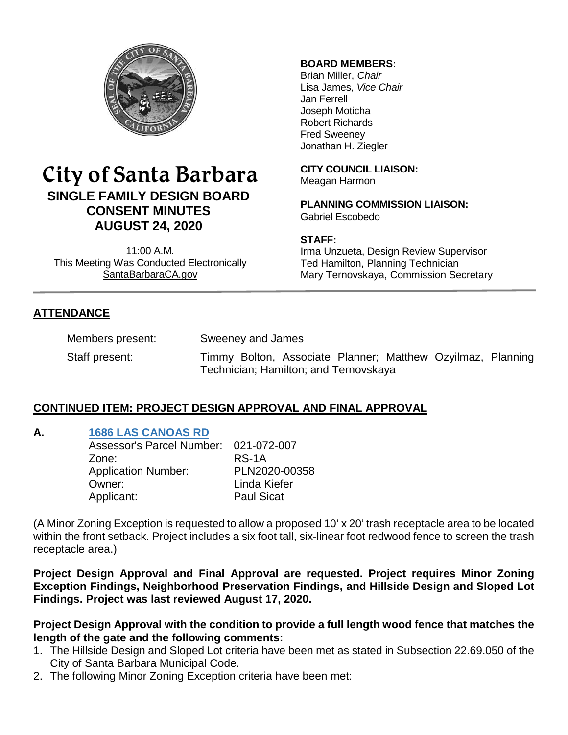

# City of Santa Barbara **SINGLE FAMILY DESIGN BOARD CONSENT MINUTES AUGUST 24, 2020**

11:00 A.M. This Meeting Was Conducted Electronically [SantaBarbaraCA.gov](http://www.santabarbaraca.gov/)

## **BOARD MEMBERS:**

Brian Miller, *Chair* Lisa James, *Vice Chair* Jan Ferrell Joseph Moticha Robert Richards Fred Sweeney Jonathan H. Ziegler

**CITY COUNCIL LIAISON:** Meagan Harmon

**PLANNING COMMISSION LIAISON:** Gabriel Escobedo

## **STAFF:**

Irma Unzueta, Design Review Supervisor Ted Hamilton, Planning Technician Mary Ternovskaya, Commission Secretary

# **ATTENDANCE**

Members present: Sweeney and James

Staff present: Timmy Bolton, Associate Planner; Matthew Ozyilmaz, Planning Technician; Hamilton; and Ternovskaya

# **CONTINUED ITEM: PROJECT DESIGN APPROVAL AND FINAL APPROVAL**

## **A. [1686 LAS CANOAS RD](https://www.santabarbaraca.gov/SBdocuments/Advisory_Groups/Single_Family_Design_Board/Archive/2020_Archives/03_Architectural_Drawings/2020-08-24_August_24_2020_1686_Las_Canoas.pdf)**

| PLN2020-00358 |
|---------------|
|               |
|               |
|               |

(A Minor Zoning Exception is requested to allow a proposed 10' x 20' trash receptacle area to be located within the front setback. Project includes a six foot tall, six-linear foot redwood fence to screen the trash receptacle area.)

**Project Design Approval and Final Approval are requested. Project requires Minor Zoning Exception Findings, Neighborhood Preservation Findings, and Hillside Design and Sloped Lot Findings. Project was last reviewed August 17, 2020.**

**Project Design Approval with the condition to provide a full length wood fence that matches the length of the gate and the following comments:**

- 1. The Hillside Design and Sloped Lot criteria have been met as stated in Subsection 22.69.050 of the City of Santa Barbara Municipal Code.
- 2. The following Minor Zoning Exception criteria have been met: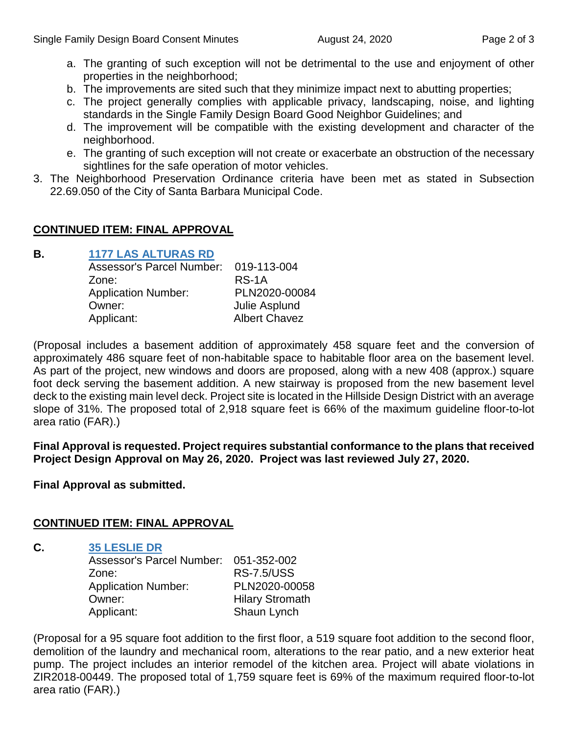- a. The granting of such exception will not be detrimental to the use and enjoyment of other properties in the neighborhood;
- b. The improvements are sited such that they minimize impact next to abutting properties;
- c. The project generally complies with applicable privacy, landscaping, noise, and lighting standards in the Single Family Design Board Good Neighbor Guidelines; and
- d. The improvement will be compatible with the existing development and character of the neighborhood.
- e. The granting of such exception will not create or exacerbate an obstruction of the necessary sightlines for the safe operation of motor vehicles.
- 3. The Neighborhood Preservation Ordinance criteria have been met as stated in Subsection 22.69.050 of the City of Santa Barbara Municipal Code.

## **CONTINUED ITEM: FINAL APPROVAL**

## **B. [1177 LAS ALTURAS RD](https://www.santabarbaraca.gov/SBdocuments/Advisory_Groups/Single_Family_Design_Board/Archive/2020_Archives/03_Architectural_Drawings/2020-08-24_August_24_2020_1177_Las_Alturas.pdf)**

| <b>Assessor's Parcel Number:</b> | 019-113-004          |
|----------------------------------|----------------------|
| Zone:                            | RS-1A                |
| <b>Application Number:</b>       | PLN2020-00084        |
| Owner:                           | Julie Asplund        |
| Applicant:                       | <b>Albert Chavez</b> |

(Proposal includes a basement addition of approximately 458 square feet and the conversion of approximately 486 square feet of non-habitable space to habitable floor area on the basement level. As part of the project, new windows and doors are proposed, along with a new 408 (approx.) square foot deck serving the basement addition. A new stairway is proposed from the new basement level deck to the existing main level deck. Project site is located in the Hillside Design District with an average slope of 31%. The proposed total of 2,918 square feet is 66% of the maximum guideline floor-to-lot area ratio (FAR).)

**Final Approval is requested. Project requires substantial conformance to the plans that received Project Design Approval on May 26, 2020. Project was last reviewed July 27, 2020.**

**Final Approval as submitted.**

## **CONTINUED ITEM: FINAL APPROVAL**

## **C. [35 LESLIE DR](https://www.santabarbaraca.gov/SBdocuments/Advisory_Groups/Single_Family_Design_Board/Archive/2020_Archives/03_Architectural_Drawings/2020-08-24_August_24_2020_35_Leslie.pdf)**

Assessor's Parcel Number: 051-352-002 Zone: RS-7.5/USS Application Number: PLN2020-00058 Owner: Hilary Stromath Applicant: Shaun Lynch

(Proposal for a 95 square foot addition to the first floor, a 519 square foot addition to the second floor, demolition of the laundry and mechanical room, alterations to the rear patio, and a new exterior heat pump. The project includes an interior remodel of the kitchen area. Project will abate violations in ZIR2018-00449. The proposed total of 1,759 square feet is 69% of the maximum required floor-to-lot area ratio (FAR).)